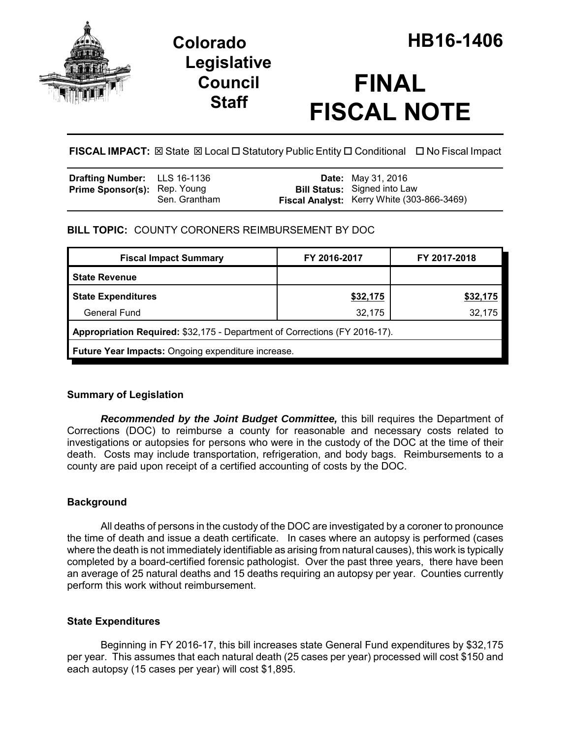

## **Legislative Council Staff**

# **FINAL FISCAL NOTE**

**FISCAL IMPACT:** ⊠ State ⊠ Local □ Statutory Public Entity □ Conditional □ No Fiscal Impact

| <b>Drafting Number:</b> LLS 16-1136 |               | <b>Date:</b> May 31, 2016                                                         |
|-------------------------------------|---------------|-----------------------------------------------------------------------------------|
| <b>Prime Sponsor(s): Rep. Young</b> | Sen. Grantham | <b>Bill Status:</b> Signed into Law<br>Fiscal Analyst: Kerry White (303-866-3469) |

## **BILL TOPIC:** COUNTY CORONERS REIMBURSEMENT BY DOC

| <b>Fiscal Impact Summary</b>                                               | FY 2016-2017 | FY 2017-2018 |  |  |
|----------------------------------------------------------------------------|--------------|--------------|--|--|
| <b>State Revenue</b>                                                       |              |              |  |  |
| <b>State Expenditures</b>                                                  | \$32,175     | \$32,175     |  |  |
| General Fund                                                               | 32,175       | 32,175       |  |  |
| Appropriation Required: \$32,175 - Department of Corrections (FY 2016-17). |              |              |  |  |
| Future Year Impacts: Ongoing expenditure increase.                         |              |              |  |  |

## **Summary of Legislation**

*Recommended by the Joint Budget Committee,* this bill requires the Department of Corrections (DOC) to reimburse a county for reasonable and necessary costs related to investigations or autopsies for persons who were in the custody of the DOC at the time of their death. Costs may include transportation, refrigeration, and body bags. Reimbursements to a county are paid upon receipt of a certified accounting of costs by the DOC.

## **Background**

All deaths of persons in the custody of the DOC are investigated by a coroner to pronounce the time of death and issue a death certificate. In cases where an autopsy is performed (cases where the death is not immediately identifiable as arising from natural causes), this work is typically completed by a board-certified forensic pathologist. Over the past three years, there have been an average of 25 natural deaths and 15 deaths requiring an autopsy per year. Counties currently perform this work without reimbursement.

## **State Expenditures**

Beginning in FY 2016-17, this bill increases state General Fund expenditures by \$32,175 per year. This assumes that each natural death (25 cases per year) processed will cost \$150 and each autopsy (15 cases per year) will cost \$1,895.